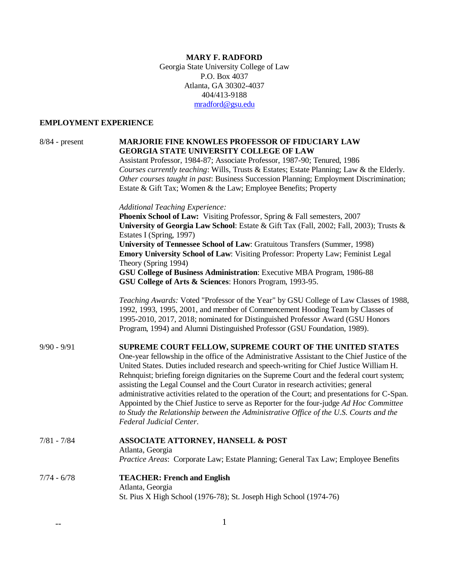# **MARY F. RADFORD**

Georgia State University College of Law P.O. Box 4037 Atlanta, GA 30302-4037 404/413-9188 mradford@gsu.edu

# **EMPLOYMENT EXPERIENCE**

| $8/84$ - present | <b>MARJORIE FINE KNOWLES PROFESSOR OF FIDUCIARY LAW</b><br><b>GEORGIA STATE UNIVERSITY COLLEGE OF LAW</b><br>Assistant Professor, 1984-87; Associate Professor, 1987-90; Tenured, 1986<br>Courses currently teaching: Wills, Trusts & Estates; Estate Planning; Law & the Elderly.<br>Other courses taught in past: Business Succession Planning; Employment Discrimination;<br>Estate & Gift Tax; Women & the Law; Employee Benefits; Property                                                                                                                                                                                                                                                                                                            |
|------------------|------------------------------------------------------------------------------------------------------------------------------------------------------------------------------------------------------------------------------------------------------------------------------------------------------------------------------------------------------------------------------------------------------------------------------------------------------------------------------------------------------------------------------------------------------------------------------------------------------------------------------------------------------------------------------------------------------------------------------------------------------------|
|                  | <b>Additional Teaching Experience:</b><br>Phoenix School of Law: Visiting Professor, Spring & Fall semesters, 2007<br>University of Georgia Law School: Estate & Gift Tax (Fall, 2002; Fall, 2003); Trusts &<br>Estates I (Spring, 1997)<br>University of Tennessee School of Law: Gratuitous Transfers (Summer, 1998)<br>Emory University School of Law: Visiting Professor: Property Law; Feminist Legal<br>Theory (Spring 1994)                                                                                                                                                                                                                                                                                                                         |
|                  | GSU College of Business Administration: Executive MBA Program, 1986-88<br>GSU College of Arts & Sciences: Honors Program, 1993-95.                                                                                                                                                                                                                                                                                                                                                                                                                                                                                                                                                                                                                         |
|                  | Teaching Awards: Voted "Professor of the Year" by GSU College of Law Classes of 1988,<br>1992, 1993, 1995, 2001, and member of Commencement Hooding Team by Classes of<br>1995-2010, 2017, 2018; nominated for Distinguished Professor Award (GSU Honors<br>Program, 1994) and Alumni Distinguished Professor (GSU Foundation, 1989).                                                                                                                                                                                                                                                                                                                                                                                                                      |
| $9/90 - 9/91$    | SUPREME COURT FELLOW, SUPREME COURT OF THE UNITED STATES<br>One-year fellowship in the office of the Administrative Assistant to the Chief Justice of the<br>United States. Duties included research and speech-writing for Chief Justice William H.<br>Rehnquist; briefing foreign dignitaries on the Supreme Court and the federal court system;<br>assisting the Legal Counsel and the Court Curator in research activities; general<br>administrative activities related to the operation of the Court; and presentations for C-Span.<br>Appointed by the Chief Justice to serve as Reporter for the four-judge Ad Hoc Committee<br>to Study the Relationship between the Administrative Office of the U.S. Courts and the<br>Federal Judicial Center. |
| $7/81 - 7/84$    | <b>ASSOCIATE ATTORNEY, HANSELL &amp; POST</b><br>Atlanta, Georgia<br>Practice Areas: Corporate Law; Estate Planning; General Tax Law; Employee Benefits                                                                                                                                                                                                                                                                                                                                                                                                                                                                                                                                                                                                    |
| 7/74 - 6/78      | <b>TEACHER: French and English</b><br>Atlanta, Georgia<br>St. Pius X High School (1976-78); St. Joseph High School (1974-76)                                                                                                                                                                                                                                                                                                                                                                                                                                                                                                                                                                                                                               |
|                  |                                                                                                                                                                                                                                                                                                                                                                                                                                                                                                                                                                                                                                                                                                                                                            |

 $\overline{\phantom{a}}$  1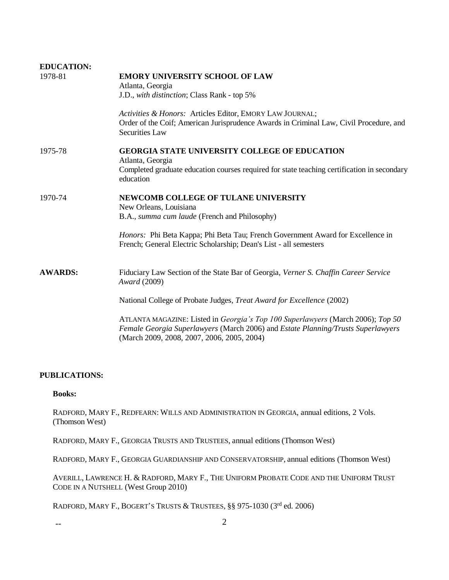| <b>EDUCATION:</b> |                                                                                                                                                                                                                          |
|-------------------|--------------------------------------------------------------------------------------------------------------------------------------------------------------------------------------------------------------------------|
| 1978-81           | <b>EMORY UNIVERSITY SCHOOL OF LAW</b>                                                                                                                                                                                    |
|                   | Atlanta, Georgia                                                                                                                                                                                                         |
|                   | J.D., with distinction; Class Rank - top 5%                                                                                                                                                                              |
|                   | Activities & Honors: Articles Editor, EMORY LAW JOURNAL;                                                                                                                                                                 |
|                   | Order of the Coif; American Jurisprudence Awards in Criminal Law, Civil Procedure, and<br>Securities Law                                                                                                                 |
| 1975-78           | <b>GEORGIA STATE UNIVERSITY COLLEGE OF EDUCATION</b>                                                                                                                                                                     |
|                   | Atlanta, Georgia                                                                                                                                                                                                         |
|                   | Completed graduate education courses required for state teaching certification in secondary<br>education                                                                                                                 |
| 1970-74           | <b>NEWCOMB COLLEGE OF TULANE UNIVERSITY</b>                                                                                                                                                                              |
|                   | New Orleans, Louisiana                                                                                                                                                                                                   |
|                   | B.A., summa cum laude (French and Philosophy)                                                                                                                                                                            |
|                   | <i>Honors:</i> Phi Beta Kappa; Phi Beta Tau; French Government Award for Excellence in                                                                                                                                   |
|                   | French; General Electric Scholarship; Dean's List - all semesters                                                                                                                                                        |
|                   |                                                                                                                                                                                                                          |
| <b>AWARDS:</b>    | Fiduciary Law Section of the State Bar of Georgia, Verner S. Chaffin Career Service<br>Award (2009)                                                                                                                      |
|                   | National College of Probate Judges, <i>Treat Award for Excellence</i> (2002)                                                                                                                                             |
|                   | ATLANTA MAGAZINE: Listed in <i>Georgia's Top 100 Superlawyers</i> (March 2006); Top 50<br>Female Georgia Superlawyers (March 2006) and Estate Planning/Trusts Superlawyers<br>(March 2009, 2008, 2007, 2006, 2005, 2004) |
|                   |                                                                                                                                                                                                                          |

# **PUBLICATIONS:**

### **Books:**

RADFORD, MARY F., REDFEARN: WILLS AND ADMINISTRATION IN GEORGIA, annual editions, 2 Vols. (Thomson West)

RADFORD, MARY F., GEORGIA TRUSTS AND TRUSTEES, annual editions (Thomson West)

RADFORD, MARY F., GEORGIA GUARDIANSHIP AND CONSERVATORSHIP, annual editions (Thomson West)

AVERILL, LAWRENCE H. & RADFORD, MARY F., THE UNIFORM PROBATE CODE AND THE UNIFORM TRUST CODE IN A NUTSHELL (West Group 2010)

RADFORD, MARY F., BOGERT'S TRUSTS & TRUSTEES, §§ 975-1030 (3rd ed. 2006)

 $\sim$  2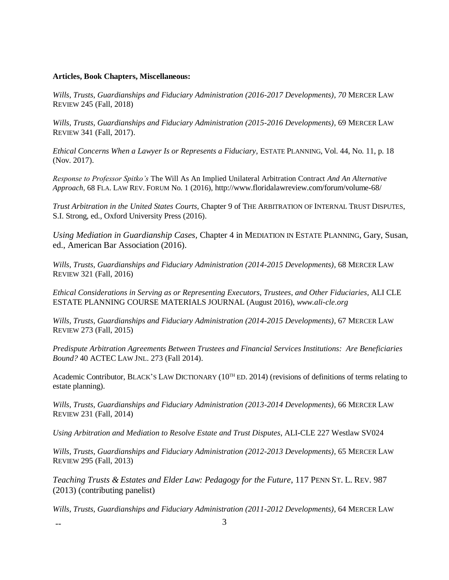# **Articles, Book Chapters, Miscellaneous:**

*Wills, Trusts, Guardianships and Fiduciary Administration (2016-2017 Developments), 70* MERCER LAW REVIEW 245 (Fall, 2018)

*Wills, Trusts, Guardianships and Fiduciary Administration (2015-2016 Developments),* 69 MERCER LAW REVIEW 341 (Fall, 2017).

*Ethical Concerns When a Lawyer Is or Represents a Fiduciary,* ESTATE PLANNING, Vol. 44, No. 11, p. 18 (Nov. 2017).

*Response to Professor Spitko's* [The Will As An Implied Unilateral Arbitration Contract](http://www.floridalawreview.com/wp-content/uploads/Radford_Published.pdf) *[And An Alternative](http://www.floridalawreview.com/wp-content/uploads/Radford_Published.pdf)  [Approach,](http://www.floridalawreview.com/wp-content/uploads/Radford_Published.pdf)* 68 FLA. LAW REV. FORUM No. 1 (2016), http://www.floridalawreview.com/forum/volume-68/

*Trust Arbitration in the United States Courts,* Chapter 9 of THE ARBITRATION OF INTERNAL TRUST DISPUTES, S.I. Strong, ed., Oxford University Press (2016).

*Using Mediation in Guardianship Cases,* Chapter 4 in MEDIATION IN ESTATE PLANNING, Gary, Susan, ed., American Bar Association (2016).

Wills, Trusts, Guardianships and Fiduciary Administration (2014-2015 Developments), 68 MERCER LAW REVIEW 321 (Fall, 2016)

*Ethical Considerations in Serving as or Representing Executors, Trustees, and Other Fiduciaries,* ALI CLE ESTATE PLANNING COURSE MATERIALS JOURNAL (August 2016), *www.ali-cle.org*

*Wills, Trusts, Guardianships and Fiduciary Administration (2014-2015 Developments),* 67 MERCER LAW REVIEW 273 (Fall, 2015)

*Predispute Arbitration Agreements Between Trustees and Financial Services Institutions: Are Beneficiaries Bound?* 40 ACTEC LAW JNL. 273 (Fall 2014).

Academic Contributor, BLACK'S LAW DICTIONARY (10<sup>TH</sup> ED. 2014) (revisions of definitions of terms relating to estate planning).

Wills, Trusts, Guardianships and Fiduciary Administration (2013-2014 Developments), 66 MERCER LAW REVIEW 231 (Fall, 2014)

*Using Arbitration and Mediation to Resolve Estate and Trust Disputes*, ALI-CLE 227 Westlaw SV024

Wills, Trusts, Guardianships and Fiduciary Administration (2012-2013 Developments), 65 MERCER LAW REVIEW 295 (Fall, 2013)

*Teaching Trusts & Estates and Elder Law: Pedagogy for the Future*, 117 PENN ST. L. REV. 987 (2013) (contributing panelist)

Wills, Trusts, Guardianships and Fiduciary Administration (2011-2012 Developments), 64 MERCER LAW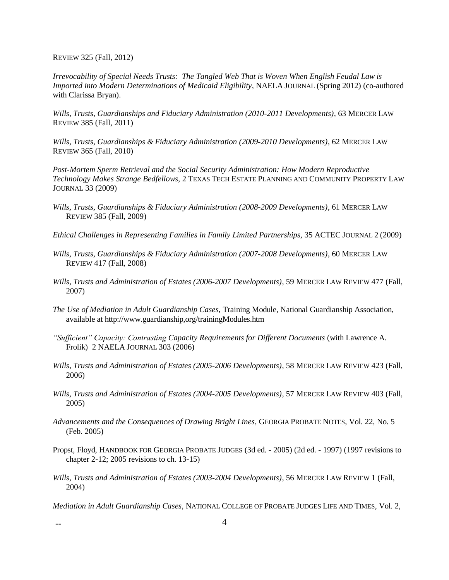REVIEW 325 (Fall, 2012)

*Irrevocability of Special Needs Trusts: The Tangled Web That is Woven When English Feudal Law is Imported into Modern Determinations of Medicaid Eligibility*, NAELA JOURNAL (Spring 2012) (co-authored with Clarissa Bryan).

Wills, Trusts, Guardianships and Fiduciary Administration (2010-2011 Developments), 63 MERCER LAW REVIEW 385 (Fall, 2011)

*Wills, Trusts, Guardianships & Fiduciary Administration (2009-2010 Developments)*, 62 MERCER LAW REVIEW 365 (Fall, 2010)

*Post-Mortem Sperm Retrieval and the Social Security Administration: How Modern Reproductive Technology Makes Strange Bedfellows,* 2 TEXAS TECH ESTATE PLANNING AND COMMUNITY PROPERTY LAW JOURNAL 33 (2009)

- *Wills, Trusts, Guardianships & Fiduciary Administration (2008-2009 Developments)*, 61 MERCER LAW REVIEW 385 (Fall, 2009)
- *Ethical Challenges in Representing Families in Family Limited Partnerships,* 35 ACTEC JOURNAL 2 (2009)
- *Wills, Trusts, Guardianships & Fiduciary Administration (2007-2008 Developments)*, 60 MERCER LAW REVIEW 417 (Fall, 2008)
- *Wills, Trusts and Administration of Estates (2006-2007 Developments)*, 59 MERCER LAW REVIEW 477 (Fall, 2007)
- *The Use of Mediation in Adult Guardianship Cases,* Training Module, National Guardianship Association, available at http://www.guardianship,org/trainingModules.htm
- "Sufficient" Capacity: Contrasting Capacity Requirements for Different Documents (with Lawrence A. Frolik) 2 NAELA JOURNAL 303 (2006)
- *Wills, Trusts and Administration of Estates (2005-2006 Developments)*, 58 MERCER LAW REVIEW 423 (Fall, 2006)
- *Wills, Trusts and Administration of Estates (2004-2005 Developments)*, 57 MERCER LAW REVIEW 403 (Fall, 2005)
- *Advancements and the Consequences of Drawing Bright Lines*, GEORGIA PROBATE NOTES, Vol. 22, No. 5 (Feb. 2005)
- Propst, Floyd, HANDBOOK FOR GEORGIA PROBATE JUDGES (3d ed. 2005) (2d ed. 1997) (1997 revisions to chapter 2-12; 2005 revisions to ch. 13-15)
- *Wills, Trusts and Administration of Estates (2003-2004 Developments)*, 56 MERCER LAW REVIEW 1 (Fall, 2004)

*Mediation in Adult Guardianship Cases*, NATIONAL COLLEGE OF PROBATE JUDGES LIFE AND TIMES, Vol. 2,

 $\overline{4}$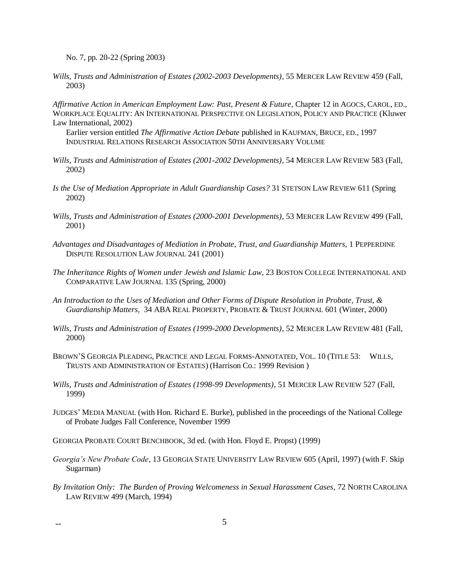No. 7, pp. 20-22 (Spring 2003)

*Wills, Trusts and Administration of Estates (2002-2003 Developments)*, 55 MERCER LAW REVIEW 459 (Fall, 2003)

*Affirmative Action in American Employment Law: Past, Present & Future*, Chapter 12 in AGOCS, CAROL, ED., WORKPLACE EQUALITY: AN INTERNATIONAL PERSPECTIVE ON LEGISLATION, POLICY AND PRACTICE (Kluwer Law International, 2002)

Earlier version entitled *The Affirmative Action Debate* published in KAUFMAN, BRUCE, ED., 1997 INDUSTRIAL RELATIONS RESEARCH ASSOCIATION 50TH ANNIVERSARY VOLUME

- *Wills, Trusts and Administration of Estates (2001-2002 Developments)*, 54 MERCER LAW REVIEW 583 (Fall, 2002)
- *Is the Use of Mediation Appropriate in Adult Guardianship Cases?* 31 STETSON LAW REVIEW 611 (Spring 2002)
- *Wills, Trusts and Administration of Estates (2000-2001 Developments)*, 53 MERCER LAW REVIEW 499 (Fall, 2001)
- *Advantages and Disadvantages of Mediation in Probate, Trust, and Guardianship Matters,* 1 PEPPERDINE DISPUTE RESOLUTION LAW JOURNAL 241 (2001)
- *The Inheritance Rights of Women under Jewish and Islamic Law*, 23 BOSTON COLLEGE INTERNATIONAL AND COMPARATIVE LAW JOURNAL 135 (Spring, 2000)
- *An Introduction to the Uses of Mediation and Other Forms of Dispute Resolution in Probate, Trust, & Guardianship Matters,* 34 ABA REAL PROPERTY, PROBATE & TRUST JOURNAL 601 (Winter, 2000)
- *Wills, Trusts and Administration of Estates (1999-2000 Developments)*, 52 MERCER LAW REVIEW 481 (Fall, 2000)
- BROWN'S GEORGIA PLEADING, PRACTICE AND LEGAL FORMS-ANNOTATED, VOL. 10 (TITLE 53: WILLS, TRUSTS AND ADMINISTRATION OF ESTATES) (Harrison Co.: 1999 Revision )
- *Wills, Trusts and Administration of Estates (1998-99 Developments)*, 51 MERCER LAW REVIEW 527 (Fall, 1999)
- JUDGES' MEDIA MANUAL (with Hon. Richard E. Burke), published in the proceedings of the National College of Probate Judges Fall Conference, November 1999
- GEORGIA PROBATE COURT BENCHBOOK, 3d ed. (with Hon. Floyd E. Propst) (1999)
- *Georgia's New Probate Code*, 13 GEORGIA STATE UNIVERSITY LAW REVIEW 605 (April, 1997) (with F. Skip Sugarman)
- *By Invitation Only: The Burden of Proving Welcomeness in Sexual Harassment Cases*, 72 NORTH CAROLINA LAW REVIEW 499 (March, 1994)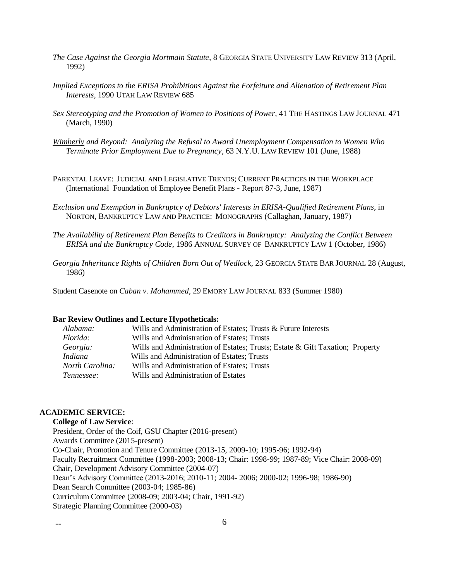- *The Case Against the Georgia Mortmain Statute*, 8 GEORGIA STATE UNIVERSITY LAW REVIEW 313 (April, 1992)
- *Implied Exceptions to the ERISA Prohibitions Against the Forfeiture and Alienation of Retirement Plan Interests*, 1990 UTAH LAW REVIEW 685
- *Sex Stereotyping and the Promotion of Women to Positions of Power*, 41 THE HASTINGS LAW JOURNAL 471 (March, 1990)
- *Wimberly and Beyond: Analyzing the Refusal to Award Unemployment Compensation to Women Who Terminate Prior Employment Due to Pregnancy*, 63 N.Y.U. LAW REVIEW 101 (June, 1988)
- PARENTAL LEAVE: JUDICIAL AND LEGISLATIVE TRENDS; CURRENT PRACTICES IN THE WORKPLACE (International Foundation of Employee Benefit Plans - Report 87-3, June, 1987)
- *Exclusion and Exemption in Bankruptcy of Debtors' Interests in ERISA-Qualified Retirement Plans*, in NORTON, BANKRUPTCY LAW AND PRACTICE: MONOGRAPHS (Callaghan, January, 1987)
- *The Availability of Retirement Plan Benefits to Creditors in Bankruptcy: Analyzing the Conflict Between ERISA and the Bankruptcy Code*, 1986 ANNUAL SURVEY OF BANKRUPTCY LAW 1 (October, 1986)
- *Georgia Inheritance Rights of Children Born Out of Wedlock*, 23 GEORGIA STATE BAR JOURNAL 28 (August, 1986)

Student Casenote on *Caban v. Mohammed*, 29 EMORY LAW JOURNAL 833 (Summer 1980)

#### **Bar Review Outlines and Lecture Hypotheticals:**

| Alabama:               | Wills and Administration of Estates; Trusts & Future Interests                |
|------------------------|-------------------------------------------------------------------------------|
| Florida:               | Wills and Administration of Estates; Trusts                                   |
| Georgia:               | Wills and Administration of Estates; Trusts; Estate & Gift Taxation; Property |
| <i>Indiana</i>         | Wills and Administration of Estates; Trusts                                   |
| <i>North Carolina:</i> | Wills and Administration of Estates; Trusts                                   |
| Tennessee:             | Wills and Administration of Estates                                           |

# **ACADEMIC SERVICE:**

#### **College of Law Service**:

President, Order of the Coif, GSU Chapter (2016-present) Awards Committee (2015-present) Co-Chair, Promotion and Tenure Committee (2013-15, 2009-10; 1995-96; 1992-94) Faculty Recruitment Committee (1998-2003; 2008-13; Chair: 1998-99; 1987-89; Vice Chair: 2008-09) Chair, Development Advisory Committee (2004-07) Dean's Advisory Committee (2013-2016; 2010-11; 2004- 2006; 2000-02; 1996-98; 1986-90) Dean Search Committee (2003-04; 1985-86) Curriculum Committee (2008-09; 2003-04; Chair, 1991-92) Strategic Planning Committee (2000-03)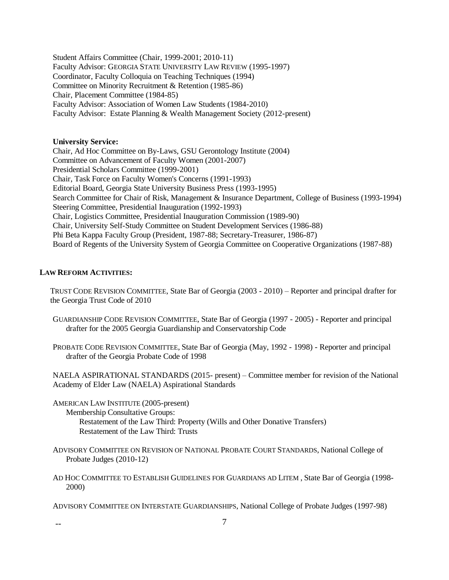Student Affairs Committee (Chair, 1999-2001; 2010-11) Faculty Advisor: GEORGIA STATE UNIVERSITY LAW REVIEW (1995-1997) Coordinator, Faculty Colloquia on Teaching Techniques (1994) Committee on Minority Recruitment & Retention (1985-86) Chair, Placement Committee (1984-85) Faculty Advisor: Association of Women Law Students (1984-2010) Faculty Advisor: Estate Planning & Wealth Management Society (2012-present)

## **University Service:**

Chair, Ad Hoc Committee on By-Laws, GSU Gerontology Institute (2004) Committee on Advancement of Faculty Women (2001-2007) Presidential Scholars Committee (1999-2001) Chair, Task Force on Faculty Women's Concerns (1991-1993) Editorial Board, Georgia State University Business Press (1993-1995) Search Committee for Chair of Risk, Management & Insurance Department, College of Business (1993-1994) Steering Committee, Presidential Inauguration (1992-1993) Chair, Logistics Committee, Presidential Inauguration Commission (1989-90) Chair, University Self-Study Committee on Student Development Services (1986-88) Phi Beta Kappa Faculty Group (President, 1987-88; Secretary-Treasurer, 1986-87) Board of Regents of the University System of Georgia Committee on Cooperative Organizations (1987-88)

### **LAW REFORM ACTIVITIES:**

TRUST CODE REVISION COMMITTEE, State Bar of Georgia (2003 - 2010) – Reporter and principal drafter for the Georgia Trust Code of 2010

- GUARDIANSHIP CODE REVISION COMMITTEE, State Bar of Georgia (1997 2005) Reporter and principal drafter for the 2005 Georgia Guardianship and Conservatorship Code
- PROBATE CODE REVISION COMMITTEE, State Bar of Georgia (May, 1992 1998) Reporter and principal drafter of the Georgia Probate Code of 1998

NAELA ASPIRATIONAL STANDARDS (2015- present) – Committee member for revision of the National Academy of Elder Law (NAELA) Aspirational Standards

AMERICAN LAW INSTITUTE (2005-present)

Membership Consultative Groups:

Restatement of the Law Third: Property (Wills and Other Donative Transfers) Restatement of the Law Third: Trusts

- ADVISORY COMMITTEE ON REVISION OF NATIONAL PROBATE COURT STANDARDS, National College of Probate Judges (2010-12)
- AD HOC COMMITTEE TO ESTABLISH GUIDELINES FOR GUARDIANS AD LITEM , State Bar of Georgia (1998- 2000)

ADVISORY COMMITTEE ON INTERSTATE GUARDIANSHIPS, National College of Probate Judges (1997-98)

-- 7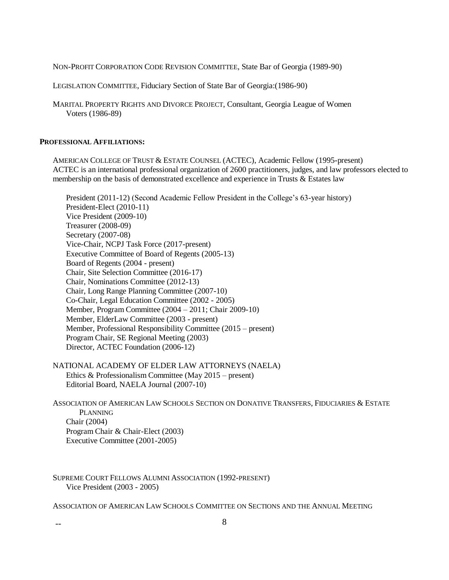NON-PROFIT CORPORATION CODE REVISION COMMITTEE, State Bar of Georgia (1989-90)

LEGISLATION COMMITTEE, Fiduciary Section of State Bar of Georgia:(1986-90)

MARITAL PROPERTY RIGHTS AND DIVORCE PROJECT, Consultant, Georgia League of Women Voters (1986-89)

# **PROFESSIONAL AFFILIATIONS:**

AMERICAN COLLEGE OF TRUST & ESTATE COUNSEL (ACTEC), Academic Fellow (1995-present) ACTEC is an international professional organization of 2600 practitioners, judges, and law professors elected to membership on the basis of demonstrated excellence and experience in Trusts & Estates law

President (2011-12) (Second Academic Fellow President in the College's 63-year history) President-Elect (2010-11) Vice President (2009-10) Treasurer (2008-09) Secretary (2007-08) Vice-Chair, NCPJ Task Force (2017-present) Executive Committee of Board of Regents (2005-13) Board of Regents (2004 - present) Chair, Site Selection Committee (2016-17) Chair, Nominations Committee (2012-13) Chair, Long Range Planning Committee (2007-10) Co-Chair, Legal Education Committee (2002 - 2005) Member, Program Committee (2004 – 2011; Chair 2009-10) Member, ElderLaw Committee (2003 - present) Member, Professional Responsibility Committee (2015 – present) Program Chair, SE Regional Meeting (2003) Director, ACTEC Foundation (2006-12)

NATIONAL ACADEMY OF ELDER LAW ATTORNEYS (NAELA) Ethics & Professionalism Committee (May 2015 – present) Editorial Board, NAELA Journal (2007-10)

ASSOCIATION OF AMERICAN LAW SCHOOLS SECTION ON DONATIVE TRANSFERS, FIDUCIARIES & ESTATE PLANNING Chair (2004) Program Chair & Chair-Elect (2003) Executive Committee (2001-2005)

SUPREME COURT FELLOWS ALUMNI ASSOCIATION (1992-PRESENT) Vice President (2003 - 2005)

ASSOCIATION OF AMERICAN LAW SCHOOLS COMMITTEE ON SECTIONS AND THE ANNUAL MEETING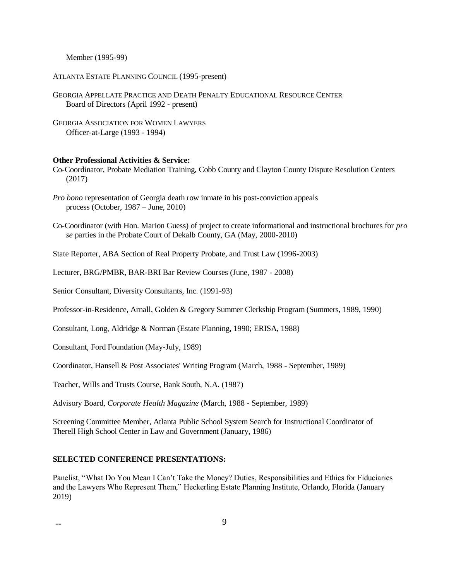Member (1995-99)

ATLANTA ESTATE PLANNING COUNCIL (1995-present)

GEORGIA APPELLATE PRACTICE AND DEATH PENALTY EDUCATIONAL RESOURCE CENTER Board of Directors (April 1992 - present)

GEORGIA ASSOCIATION FOR WOMEN LAWYERS Officer-at-Large (1993 - 1994)

#### **Other Professional Activities & Service:**

Co-Coordinator, Probate Mediation Training, Cobb County and Clayton County Dispute Resolution Centers (2017)

- *Pro bono* representation of Georgia death row inmate in his post-conviction appeals process (October, 1987 – June, 2010)
- Co-Coordinator (with Hon. Marion Guess) of project to create informational and instructional brochures for *pro se* parties in the Probate Court of Dekalb County, GA (May, 2000-2010)

State Reporter, ABA Section of Real Property Probate, and Trust Law (1996-2003)

Lecturer, BRG/PMBR, BAR-BRI Bar Review Courses (June, 1987 - 2008)

Senior Consultant, Diversity Consultants, Inc. (1991-93)

Professor-in-Residence, Arnall, Golden & Gregory Summer Clerkship Program (Summers, 1989, 1990)

Consultant, Long, Aldridge & Norman (Estate Planning, 1990; ERISA, 1988)

Consultant, Ford Foundation (May-July, 1989)

Coordinator, Hansell & Post Associates' Writing Program (March, 1988 - September, 1989)

Teacher, Wills and Trusts Course, Bank South, N.A. (1987)

Advisory Board, *Corporate Health Magazine* (March, 1988 - September, 1989)

Screening Committee Member, Atlanta Public School System Search for Instructional Coordinator of Therell High School Center in Law and Government (January, 1986)

# **SELECTED CONFERENCE PRESENTATIONS:**

Panelist, "What Do You Mean I Can't Take the Money? Duties, Responsibilities and Ethics for Fiduciaries and the Lawyers Who Represent Them," Heckerling Estate Planning Institute, Orlando, Florida (January 2019)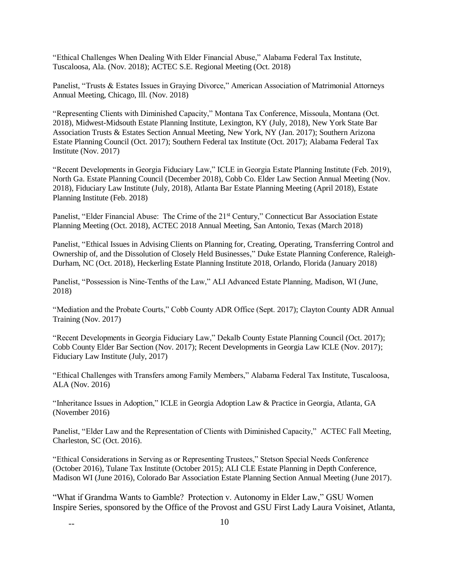"Ethical Challenges When Dealing With Elder Financial Abuse," Alabama Federal Tax Institute, Tuscaloosa, Ala. (Nov. 2018); ACTEC S.E. Regional Meeting (Oct. 2018)

Panelist, "Trusts & Estates Issues in Graying Divorce," American Association of Matrimonial Attorneys Annual Meeting, Chicago, Ill. (Nov. 2018)

"Representing Clients with Diminished Capacity," Montana Tax Conference, Missoula, Montana (Oct. 2018), Midwest-Midsouth Estate Planning Institute, Lexington, KY (July, 2018), New York State Bar Association Trusts & Estates Section Annual Meeting, New York, NY (Jan. 2017); Southern Arizona Estate Planning Council (Oct. 2017); Southern Federal tax Institute (Oct. 2017); Alabama Federal Tax Institute (Nov. 2017)

"Recent Developments in Georgia Fiduciary Law," ICLE in Georgia Estate Planning Institute (Feb. 2019), North Ga. Estate Planning Council (December 2018), Cobb Co. Elder Law Section Annual Meeting (Nov. 2018), Fiduciary Law Institute (July, 2018), Atlanta Bar Estate Planning Meeting (April 2018), Estate Planning Institute (Feb. 2018)

Panelist, "Elder Financial Abuse: The Crime of the 21<sup>st</sup> Century," Connecticut Bar Association Estate Planning Meeting (Oct. 2018), ACTEC 2018 Annual Meeting, San Antonio, Texas (March 2018)

Panelist, "Ethical Issues in Advising Clients on Planning for, Creating, Operating, Transferring Control and Ownership of, and the Dissolution of Closely Held Businesses," Duke Estate Planning Conference, Raleigh-Durham, NC (Oct. 2018), Heckerling Estate Planning Institute 2018, Orlando, Florida (January 2018)

Panelist, "Possession is Nine-Tenths of the Law," ALI Advanced Estate Planning, Madison, WI (June, 2018)

"Mediation and the Probate Courts," Cobb County ADR Office (Sept. 2017); Clayton County ADR Annual Training (Nov. 2017)

"Recent Developments in Georgia Fiduciary Law," Dekalb County Estate Planning Council (Oct. 2017); Cobb County Elder Bar Section (Nov. 2017); Recent Developments in Georgia Law ICLE (Nov. 2017); Fiduciary Law Institute (July, 2017)

"Ethical Challenges with Transfers among Family Members," Alabama Federal Tax Institute, Tuscaloosa, ALA (Nov. 2016)

"Inheritance Issues in Adoption," ICLE in Georgia Adoption Law & Practice in Georgia, Atlanta, GA (November 2016)

Panelist, "Elder Law and the Representation of Clients with Diminished Capacity," ACTEC Fall Meeting, Charleston, SC (Oct. 2016).

"Ethical Considerations in Serving as or Representing Trustees," Stetson Special Needs Conference (October 2016), Tulane Tax Institute (October 2015); ALI CLE Estate Planning in Depth Conference, Madison WI (June 2016), Colorado Bar Association Estate Planning Section Annual Meeting (June 2017).

"What if Grandma Wants to Gamble? Protection v. Autonomy in Elder Law," GSU Women Inspire Series, sponsored by the Office of the Provost and GSU First Lady Laura Voisinet, Atlanta,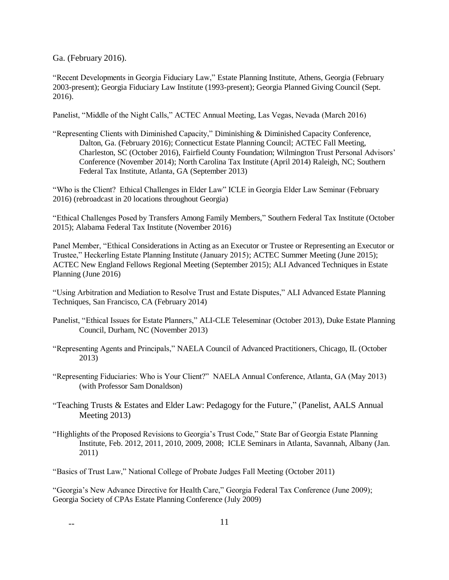Ga. (February 2016).

"Recent Developments in Georgia Fiduciary Law," Estate Planning Institute, Athens, Georgia (February 2003-present); Georgia Fiduciary Law Institute (1993-present); Georgia Planned Giving Council (Sept. 2016).

Panelist, "Middle of the Night Calls," ACTEC Annual Meeting, Las Vegas, Nevada (March 2016)

"Representing Clients with Diminished Capacity," Diminishing & Diminished Capacity Conference, Dalton, Ga. (February 2016); Connecticut Estate Planning Council; ACTEC Fall Meeting, Charleston, SC (October 2016), Fairfield County Foundation; Wilmington Trust Personal Advisors' Conference (November 2014); North Carolina Tax Institute (April 2014) Raleigh, NC; Southern Federal Tax Institute, Atlanta, GA (September 2013)

"Who is the Client? Ethical Challenges in Elder Law" ICLE in Georgia Elder Law Seminar (February 2016) (rebroadcast in 20 locations throughout Georgia)

"Ethical Challenges Posed by Transfers Among Family Members," Southern Federal Tax Institute (October 2015); Alabama Federal Tax Institute (November 2016)

Panel Member, "Ethical Considerations in Acting as an Executor or Trustee or Representing an Executor or Trustee," Heckerling Estate Planning Institute (January 2015); ACTEC Summer Meeting (June 2015); ACTEC New England Fellows Regional Meeting (September 2015); ALI Advanced Techniques in Estate Planning (June 2016)

"Using Arbitration and Mediation to Resolve Trust and Estate Disputes," ALI Advanced Estate Planning Techniques, San Francisco, CA (February 2014)

- Panelist, "Ethical Issues for Estate Planners," ALI-CLE Teleseminar (October 2013), Duke Estate Planning Council, Durham, NC (November 2013)
- "Representing Agents and Principals," NAELA Council of Advanced Practitioners, Chicago, IL (October 2013)
- "Representing Fiduciaries: Who is Your Client?" NAELA Annual Conference, Atlanta, GA (May 2013) (with Professor Sam Donaldson)
- "Teaching Trusts & Estates and Elder Law: Pedagogy for the Future," (Panelist, AALS Annual Meeting 2013)
- "Highlights of the Proposed Revisions to Georgia's Trust Code," State Bar of Georgia Estate Planning Institute, Feb. 2012, 2011, 2010, 2009, 2008; ICLE Seminars in Atlanta, Savannah, Albany (Jan. 2011)

"Basics of Trust Law," National College of Probate Judges Fall Meeting (October 2011)

"Georgia's New Advance Directive for Health Care," Georgia Federal Tax Conference (June 2009); Georgia Society of CPAs Estate Planning Conference (July 2009)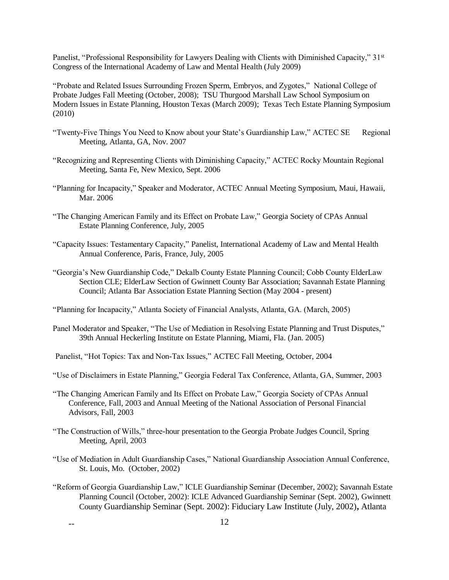Panelist, "Professional Responsibility for Lawyers Dealing with Clients with Diminished Capacity," 31<sup>st</sup> Congress of the International Academy of Law and Mental Health (July 2009)

"Probate and Related Issues Surrounding Frozen Sperm, Embryos, and Zygotes," National College of Probate Judges Fall Meeting (October, 2008); TSU Thurgood Marshall Law School Symposium on Modern Issues in Estate Planning, Houston Texas (March 2009); Texas Tech Estate Planning Symposium (2010)

- "Twenty-Five Things You Need to Know about your State's Guardianship Law," ACTEC SE Regional Meeting, Atlanta, GA, Nov. 2007
- "Recognizing and Representing Clients with Diminishing Capacity," ACTEC Rocky Mountain Regional Meeting, Santa Fe, New Mexico, Sept. 2006
- "Planning for Incapacity," Speaker and Moderator, ACTEC Annual Meeting Symposium, Maui, Hawaii, Mar. 2006
- "The Changing American Family and its Effect on Probate Law," Georgia Society of CPAs Annual Estate Planning Conference, July, 2005
- "Capacity Issues: Testamentary Capacity," Panelist, International Academy of Law and Mental Health Annual Conference, Paris, France, July, 2005
- "Georgia's New Guardianship Code," Dekalb County Estate Planning Council; Cobb County ElderLaw Section CLE; ElderLaw Section of Gwinnett County Bar Association; Savannah Estate Planning Council; Atlanta Bar Association Estate Planning Section (May 2004 - present)

"Planning for Incapacity," Atlanta Society of Financial Analysts, Atlanta, GA. (March, 2005)

- Panel Moderator and Speaker, "The Use of Mediation in Resolving Estate Planning and Trust Disputes," 39th Annual Heckerling Institute on Estate Planning, Miami, Fla. (Jan. 2005)
- Panelist, "Hot Topics: Tax and Non-Tax Issues," ACTEC Fall Meeting, October, 2004
- "Use of Disclaimers in Estate Planning," Georgia Federal Tax Conference, Atlanta, GA, Summer, 2003
- "The Changing American Family and Its Effect on Probate Law," Georgia Society of CPAs Annual Conference, Fall, 2003 and Annual Meeting of the National Association of Personal Financial Advisors, Fall, 2003
- "The Construction of Wills," three-hour presentation to the Georgia Probate Judges Council, Spring Meeting, April, 2003
- "Use of Mediation in Adult Guardianship Cases," National Guardianship Association Annual Conference, St. Louis, Mo. (October, 2002)
- "Reform of Georgia Guardianship Law," ICLE Guardianship Seminar (December, 2002); Savannah Estate Planning Council (October, 2002): ICLE Advanced Guardianship Seminar (Sept. 2002), Gwinnett County Guardianship Seminar (Sept. 2002): Fiduciary Law Institute (July, 2002)**,** Atlanta